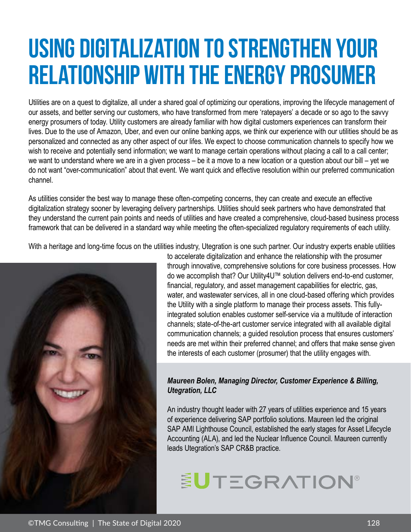## **Using Digitalization to Strengthen Your Relationship with the Energy Prosumer**

Utilities are on a quest to digitalize, all under a shared goal of optimizing our operations, improving the lifecycle management of our assets, and better serving our customers, who have transformed from mere 'ratepayers' a decade or so ago to the savvy energy prosumers of today. Utility customers are already familiar with how digital customers experiences can transform their lives. Due to the use of Amazon, Uber, and even our online banking apps, we think our experience with our utilities should be as personalized and connected as any other aspect of our lifes. We expect to choose communication channels to specify how we wish to receive and potentially send information; we want to manage certain operations without placing a call to a call center; we want to understand where we are in a given process – be it a move to a new location or a question about our bill – yet we do not want "over-communication" about that event. We want quick and effective resolution within our preferred communication channel.

As utilities consider the best way to manage these often-competing concerns, they can create and execute an effective digitalization strategy sooner by leveraging delivery partnerships. Utilities should seek partners who have demonstrated that they understand the current pain points and needs of utilities and have created a comprehensive, cloud-based business process framework that can be delivered in a standard way while meeting the often-specialized regulatory requirements of each utility.

With a heritage and long-time focus on the utilities industry, Utegration is one such partner. Our industry experts enable utilities



to accelerate digitalization and enhance the relationship with the prosumer through innovative, comprehensive solutions for core business processes. How do we accomplish that? Our Utility4U™ solution delivers end-to-end customer, financial, regulatory, and asset management capabilities for electric, gas, water, and wastewater services, all in one cloud-based offering which provides the Utility with a single platform to manage their process assets. This fullyintegrated solution enables customer self-service via a multitude of interaction channels; state-of-the-art customer service integrated with all available digital communication channels; a guided resolution process that ensures customers' needs are met within their preferred channel; and offers that make sense given the interests of each customer (prosumer) that the utility engages with.

## *Maureen Bolen, Managing Director, Customer Experience & Billing, Utegration, LLC*

An industry thought leader with 27 years of utilities experience and 15 years of experience delivering SAP portfolio solutions. Maureen led the original SAP AMI Lighthouse Council, established the early stages for Asset Lifecycle Accounting (ALA), and led the Nuclear Influence Council. Maureen currently leads Utegration's SAP CR&B practice.